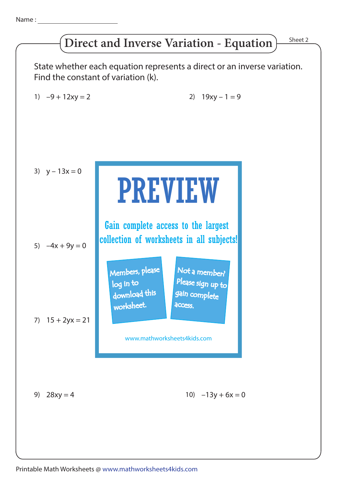